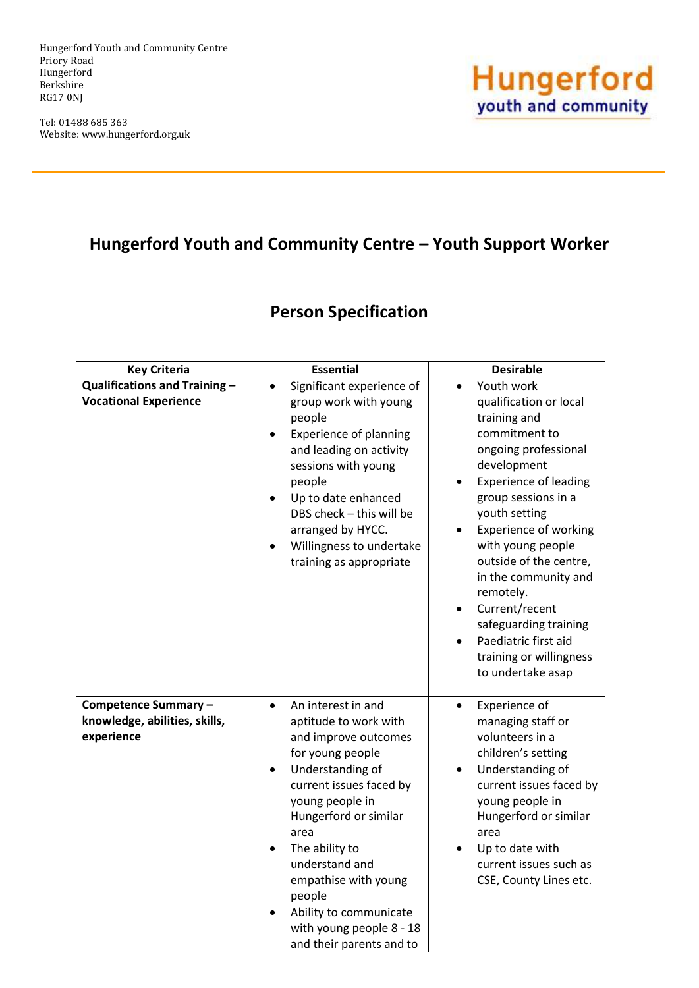Hungerford Youth and Community Centre Priory Road Hungerford Berkshire RG17 0NJ

Tel: 01488 685 363 Website: www.hungerford.org.uk



## **Hungerford Youth and Community Centre – Youth Support Worker**

## **Person Specification**

| <b>Key Criteria</b>                                                  | <b>Essential</b>                                                                                                                                                                                                                                                                                                                                                             | <b>Desirable</b>                                                                                                                                                                                                                                                                                                                                                                                                                                      |
|----------------------------------------------------------------------|------------------------------------------------------------------------------------------------------------------------------------------------------------------------------------------------------------------------------------------------------------------------------------------------------------------------------------------------------------------------------|-------------------------------------------------------------------------------------------------------------------------------------------------------------------------------------------------------------------------------------------------------------------------------------------------------------------------------------------------------------------------------------------------------------------------------------------------------|
| <b>Qualifications and Training -</b><br><b>Vocational Experience</b> | Significant experience of<br>$\bullet$<br>group work with young<br>people<br><b>Experience of planning</b><br>and leading on activity<br>sessions with young<br>people<br>Up to date enhanced<br>$\bullet$<br>DBS check - this will be<br>arranged by HYCC.<br>Willingness to undertake<br>training as appropriate                                                           | Youth work<br>$\bullet$<br>qualification or local<br>training and<br>commitment to<br>ongoing professional<br>development<br><b>Experience of leading</b><br>group sessions in a<br>youth setting<br><b>Experience of working</b><br>with young people<br>outside of the centre,<br>in the community and<br>remotely.<br>Current/recent<br>$\bullet$<br>safeguarding training<br>Paediatric first aid<br>training or willingness<br>to undertake asap |
| Competence Summary-<br>knowledge, abilities, skills,<br>experience   | An interest in and<br>$\bullet$<br>aptitude to work with<br>and improve outcomes<br>for young people<br>Understanding of<br>$\bullet$<br>current issues faced by<br>young people in<br>Hungerford or similar<br>area<br>The ability to<br>understand and<br>empathise with young<br>people<br>Ability to communicate<br>with young people 8 - 18<br>and their parents and to | Experience of<br>$\bullet$<br>managing staff or<br>volunteers in a<br>children's setting<br>Understanding of<br>٠<br>current issues faced by<br>young people in<br>Hungerford or similar<br>area<br>Up to date with<br>current issues such as<br>CSE, County Lines etc.                                                                                                                                                                               |